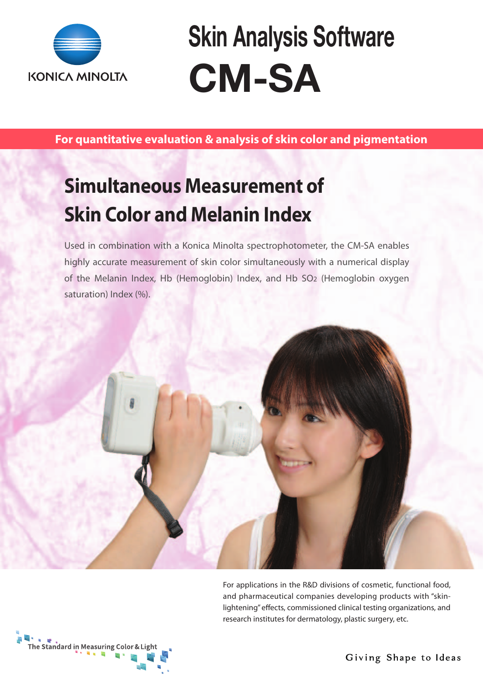

**Skin Analysis Software CM-SA**

**For quantitative evaluation & analysis of skin color and pigmentation**

## **Simultaneous Measurement of Skin Color and Melanin Index**

Used in combination with a Konica Minolta spectrophotometer, the CM-SA enables highly accurate measurement of skin color simultaneously with a numerical display of the Melanin Index, Hb (Hemoglobin) Index, and Hb SO2 (Hemoglobin oxygen saturation) Index (%).



For applications in the R&D divisions of cosmetic, functional food, and pharmaceutical companies developing products with "skinlightening" effects, commissioned clinical testing organizations, and research institutes for dermatology, plastic surgery, etc.



Giving Shape to Ideas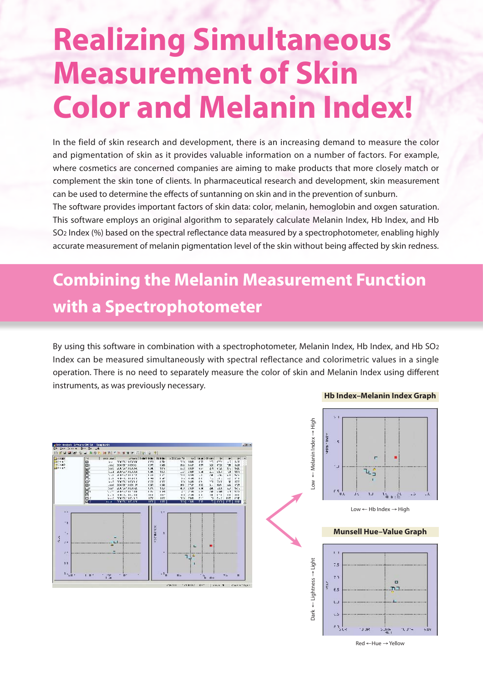# **Realizing Simultaneous Measurement of Skin Color and Melanin Index!**

In the field of skin research and development, there is an increasing demand to measure the color and pigmentation of skin as it provides valuable information on a number of factors. For example, where cosmetics are concerned companies are aiming to make products that more closely match or complement the skin tone of clients. In pharmaceutical research and development, skin measurement can be used to determine the effects of suntanning on skin and in the prevention of sunburn.

The software provides important factors of skin data: color, melanin, hemoglobin and oxgen saturation. This software employs an original algorithm to separately calculate Melanin Index, Hb Index, and Hb SO2 Index (%) based on the spectral reflectance data measured by a spectrophotometer, enabling highly accurate measurement of melanin pigmentation level of the skin without being affected by skin redness.

### **Combining the Melanin Measurement Function with a Spectrophotometer**

By using this software in combination with a spectrophotometer, Melanin Index, Hb Index, and Hb SO2 Index can be measured simultaneously with spectral reflectance and colorimetric values in a single operation. There is no need to separately measure the color of skin and Melanin Index using different instruments, as was previously necessary.





Red ←Hue → Yellow

#### **Hb Index–Melanin Index Graph**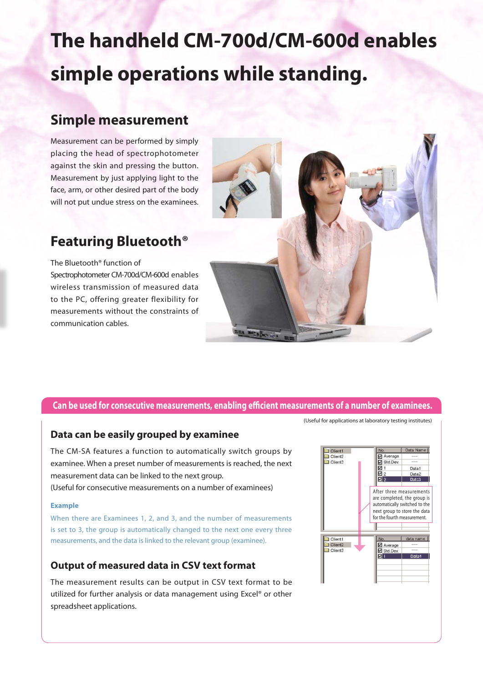# **The handheld CM-700d/CM-600d enables simple operations while standing.**

### **Simple measurement**

Measurement can be performed by simply placing the head of spectrophotometer against the skin and pressing the button. Measurement by just applying light to the face, arm, or other desired part of the body will not put undue stress on the examinees.

### **Featuring Bluetooth®**

The Bluetooth® function of Spectrophotometer CM-700d/CM-600d enables wireless transmission of measured data to the PC, offering greater flexibility for measurements without the constraints of communication cables.



#### **Can be used for consecutive measurements, enabling efficient measurements of a number of examinees.**

#### **Data can be easily grouped by examinee**

The CM-SA features a function to automatically switch groups by examinee. When a preset number of measurements is reached, the next measurement data can be linked to the next group. (Useful for consecutive measurements on a number of examinees)

#### **Example**

When there are Examinees 1, 2, and 3, and the number of measurements is set to 3, the group is automatically changed to the next one every three measurements, and the data is linked to the relevant group (examinee).

#### **Output of measured data in CSV text format**

The measurement results can be output in CSV text format to be utilized for further analysis or data management using Excel® or other spreadsheet applications.



(Useful for applications at laboratory testing institutes)